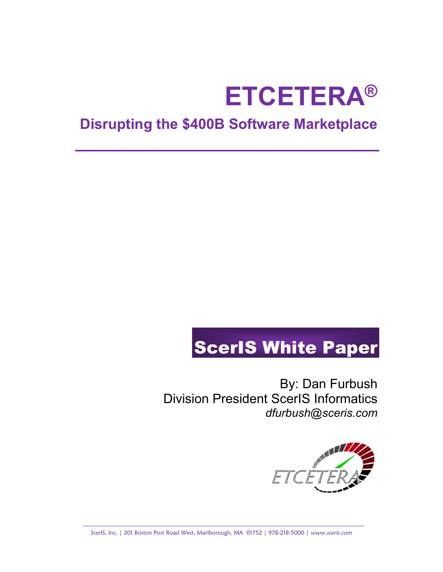# **ETCETERA®**

## **Disrupting the \$400B Software Marketplace**

## ScerIS White Paper

By: Dan Furbush Division President ScerIS Informatics *dfurbush@sceris.com*



ScerIS, Inc. | 201 Boston Post Road West, Marlborough, MA 01752 | 978-218-5000 | www.sceris.com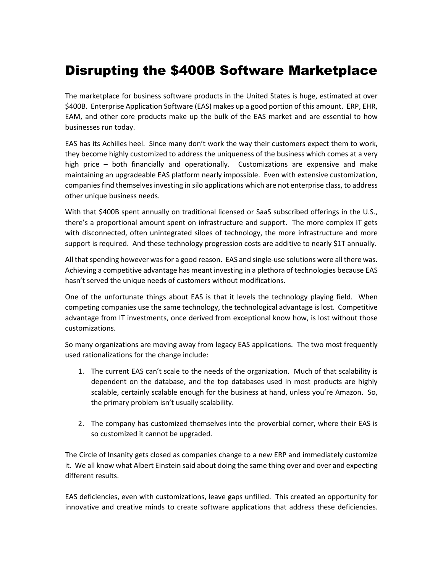### Disrupting the \$400B Software Marketplace

The marketplace for business software products in the United States is huge, estimated at over \$400B. Enterprise Application Software (EAS) makes up a good portion of this amount. ERP, EHR, EAM, and other core products make up the bulk of the EAS market and are essential to how businesses run today.

EAS has its Achilles heel. Since many don't work the way their customers expect them to work, they become highly customized to address the uniqueness of the business which comes at a very high price – both financially and operationally. Customizations are expensive and make maintaining an upgradeable EAS platform nearly impossible. Even with extensive customization, companies find themselves investing in silo applications which are not enterprise class, to address other unique business needs.

With that \$400B spent annually on traditional licensed or SaaS subscribed offerings in the U.S., there's a proportional amount spent on infrastructure and support. The more complex IT gets with disconnected, often unintegrated siloes of technology, the more infrastructure and more support is required. And these technology progression costs are additive to nearly \$1T annually.

All that spending however was for a good reason. EAS and single-use solutions were all there was. Achieving a competitive advantage has meant investing in a plethora of technologies because EAS hasn't served the unique needs of customers without modifications.

One of the unfortunate things about EAS is that it levels the technology playing field. When competing companies use the same technology, the technological advantage is lost. Competitive advantage from IT investments, once derived from exceptional know how, is lost without those customizations.

So many organizations are moving away from legacy EAS applications. The two most frequently used rationalizations for the change include:

- 1. The current EAS can't scale to the needs of the organization. Much of that scalability is dependent on the database, and the top databases used in most products are highly scalable, certainly scalable enough for the business at hand, unless you're Amazon. So, the primary problem isn't usually scalability.
- 2. The company has customized themselves into the proverbial corner, where their EAS is so customized it cannot be upgraded.

The Circle of Insanity gets closed as companies change to a new ERP and immediately customize it. We all know what Albert Einstein said about doing the same thing over and over and expecting different results.

EAS deficiencies, even with customizations, leave gaps unfilled. This created an opportunity for innovative and creative minds to create software applications that address these deficiencies.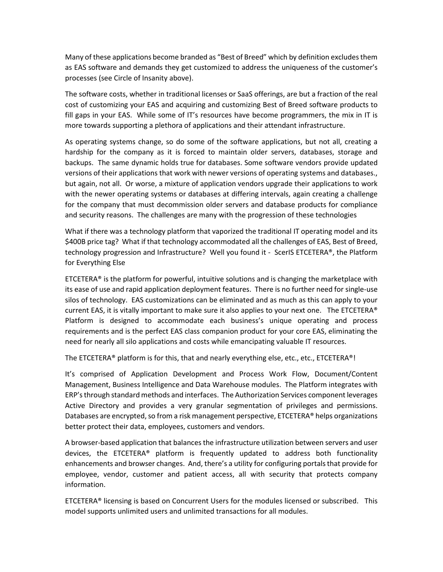Many of these applications become branded as "Best of Breed" which by definition excludes them as EAS software and demands they get customized to address the uniqueness of the customer's processes (see Circle of Insanity above).

The software costs, whether in traditional licenses or SaaS offerings, are but a fraction of the real cost of customizing your EAS and acquiring and customizing Best of Breed software products to fill gaps in your EAS. While some of IT's resources have become programmers, the mix in IT is more towards supporting a plethora of applications and their attendant infrastructure.

As operating systems change, so do some of the software applications, but not all, creating a hardship for the company as it is forced to maintain older servers, databases, storage and backups. The same dynamic holds true for databases. Some software vendors provide updated versions of their applications that work with newer versions of operating systems and databases., but again, not all. Or worse, a mixture of application vendors upgrade their applications to work with the newer operating systems or databases at differing intervals, again creating a challenge for the company that must decommission older servers and database products for compliance and security reasons. The challenges are many with the progression of these technologies

What if there was a technology platform that vaporized the traditional IT operating model and its \$400B price tag? What if that technology accommodated all the challenges of EAS, Best of Breed, technology progression and Infrastructure? Well you found it - ScerIS ETCETERA®, the Platform for Everything Else

ETCETERA® is the platform for powerful, intuitive solutions and is changing the marketplace with its ease of use and rapid application deployment features. There is no further need for single-use silos of technology. EAS customizations can be eliminated and as much as this can apply to your current EAS, it is vitally important to make sure it also applies to your next one. The ETCETERA<sup>®</sup> Platform is designed to accommodate each business's unique operating and process requirements and is the perfect EAS class companion product for your core EAS, eliminating the need for nearly all silo applications and costs while emancipating valuable IT resources.

The ETCETERA® platform is for this, that and nearly everything else, etc., etc., ETCETERA®!

It's comprised of Application Development and Process Work Flow, Document/Content Management, Business Intelligence and Data Warehouse modules. The Platform integrates with ERP's through standard methods and interfaces. The Authorization Services component leverages Active Directory and provides a very granular segmentation of privileges and permissions. Databases are encrypted, so from a risk management perspective, ETCETERA® helps organizations better protect their data, employees, customers and vendors.

A browser-based application that balances the infrastructure utilization between servers and user devices, the ETCETERA® platform is frequently updated to address both functionality enhancements and browser changes. And, there's a utility for configuring portals that provide for employee, vendor, customer and patient access, all with security that protects company information.

ETCETERA® licensing is based on Concurrent Users for the modules licensed or subscribed. This model supports unlimited users and unlimited transactions for all modules.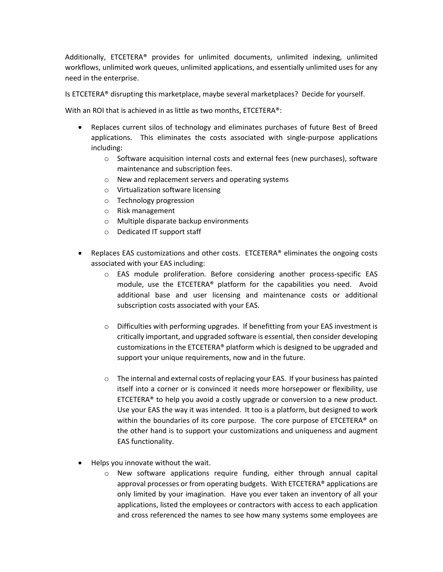Additionally, ETCETERA® provides for unlimited documents, unlimited indexing, unlimited workflows, unlimited work queues, unlimited applications, and essentially unlimited uses for any need in the enterprise.

Is ETCETERA® disrupting this marketplace, maybe several marketplaces? Decide for yourself.

With an ROI that is achieved in as little as two months, ETCETERA®:

- Replaces current silos of technology and eliminates purchases of future Best of Breed applications. This eliminates the costs associated with single-purpose applications including:
	- $\circ$  Software acquisition internal costs and external fees (new purchases), software maintenance and subscription fees.
	- o New and replacement servers and operating systems
	- o Virtualization software licensing
	- o Technology progression
	- o Risk management
	- o Multiple disparate backup environments
	- o Dedicated IT support staff
- Replaces EAS customizations and other costs. ETCETERA® eliminates the ongoing costs associated with your EAS including:
	- o EAS module proliferation. Before considering another process-specific EAS module, use the ETCETERA® platform for the capabilities you need. Avoid additional base and user licensing and maintenance costs or additional subscription costs associated with your EAS.
	- o Difficulties with performing upgrades. If benefitting from your EAS investment is critically important, and upgraded software is essential, then consider developing customizations in the ETCETERA® platform which is designed to be upgraded and support your unique requirements, now and in the future.
	- $\circ$  The internal and external costs of replacing your EAS. If your business has painted itself into a corner or is convinced it needs more horsepower or flexibility, use ETCETERA® to help you avoid a costly upgrade or conversion to a new product. Use your EAS the way it was intended. It too is a platform, but designed to work within the boundaries of its core purpose. The core purpose of ETCETERA<sup>®</sup> on the other hand is to support your customizations and uniqueness and augment EAS functionality.
- Helps you innovate without the wait.
	- $\circ$  New software applications require funding, either through annual capital approval processes or from operating budgets. With ETCETERA® applications are only limited by your imagination. Have you ever taken an inventory of all your applications, listed the employees or contractors with access to each application and cross referenced the names to see how many systems some employees are